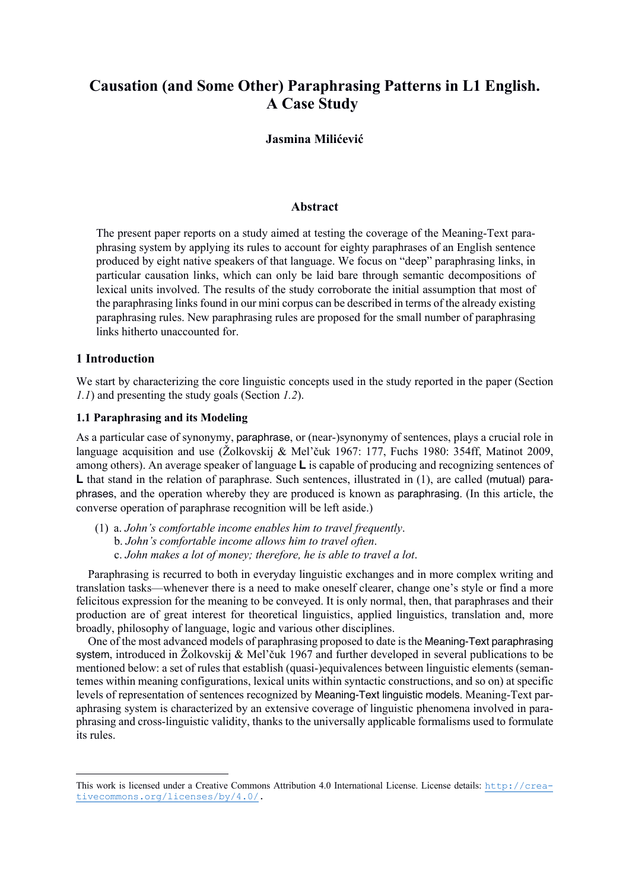# **Causation (and Some Other) Paraphrasing Patterns in L1 English. A Case Study\***

# **Jasmina Milićević**

## **Abstract**

The present paper reports on a study aimed at testing the coverage of the Meaning-Text paraphrasing system by applying its rules to account for eighty paraphrases of an English sentence produced by eight native speakers of that language. We focus on "deep" paraphrasing links, in particular causation links, which can only be laid bare through semantic decompositions of lexical units involved. The results of the study corroborate the initial assumption that most of the paraphrasing links found in our mini corpus can be described in terms of the already existing paraphrasing rules. New paraphrasing rules are proposed for the small number of paraphrasing links hitherto unaccounted for.

## **1 Introduction**

We start by characterizing the core linguistic concepts used in the study reported in the paper (Section *1.1*) and presenting the study goals (Section *1.2*).

## **1.1 Paraphrasing and its Modeling**

As a particular case of synonymy, paraphrase, or (near-)synonymy of sentences, plays a crucial role in language acquisition and use (Žolkovskij & Mel'čuk 1967: 177, Fuchs 1980: 354ff, Matinot 2009, among others). An average speaker of language **L** is capable of producing and recognizing sentences of L that stand in the relation of paraphrase. Such sentences, illustrated in (1), are called (mutual) paraphrases, and the operation whereby they are produced is known as paraphrasing. (In this article, the converse operation of paraphrase recognition will be left aside.)

(1) a. *John's comfortable income enables him to travel frequently*. b. *John's comfortable income allows him to travel often*. c. *John makes a lot of money; therefore, he is able to travel a lot*.

Paraphrasing is recurred to both in everyday linguistic exchanges and in more complex writing and translation tasks—whenever there is a need to make oneself clearer, change one's style or find a more felicitous expression for the meaning to be conveyed. It is only normal, then, that paraphrases and their production are of great interest for theoretical linguistics, applied linguistics, translation and, more broadly, philosophy of language, logic and various other disciplines.

One of the most advanced models of paraphrasing proposed to date is the Meaning-Text paraphrasing system, introduced in Žolkovskij & Mel'čuk 1967 and further developed in several publications to be mentioned below: a set of rules that establish (quasi-)equivalences between linguistic elements (semantemes within meaning configurations, lexical units within syntactic constructions, and so on) at specific levels of representation of sentences recognized by Meaning-Text linguistic models. Meaning-Text paraphrasing system is characterized by an extensive coverage of linguistic phenomena involved in paraphrasing and cross-linguistic validity, thanks to the universally applicable formalisms used to formulate its rules.

This work is licensed under a Creative Commons Attribution 4.0 International License. License details: http://creativecommons.org/licenses/by/4.0/.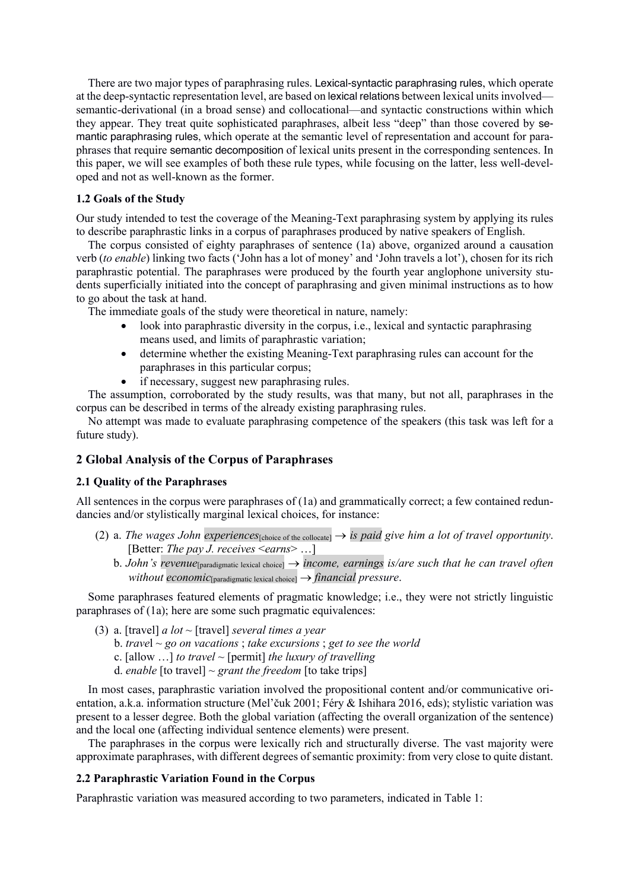There are two major types of paraphrasing rules. Lexical-syntactic paraphrasing rules, which operate at the deep-syntactic representation level, are based on lexical relations between lexical unitsinvolved semantic-derivational (in a broad sense) and collocational—and syntactic constructions within which they appear. They treat quite sophisticated paraphrases, albeit less "deep" than those covered by semantic paraphrasing rules, which operate at the semantic level of representation and account for paraphrases that require semantic decomposition of lexical units present in the corresponding sentences. In this paper, we will see examples of both these rule types, while focusing on the latter, less well-developed and not as well-known as the former.

## **1.2 Goals of the Study**

Our study intended to test the coverage of the Meaning-Text paraphrasing system by applying its rules to describe paraphrastic links in a corpus of paraphrases produced by native speakers of English.

The corpus consisted of eighty paraphrases of sentence (1a) above, organized around a causation verb (*to enable*) linking two facts ('John has a lot of money' and 'John travels a lot'), chosen for its rich paraphrastic potential. The paraphrases were produced by the fourth year anglophone university students superficially initiated into the concept of paraphrasing and given minimal instructions as to how to go about the task at hand.

The immediate goals of the study were theoretical in nature, namely:

- look into paraphrastic diversity in the corpus, i.e., lexical and syntactic paraphrasing means used, and limits of paraphrastic variation;
- determine whether the existing Meaning-Text paraphrasing rules can account for the paraphrases in this particular corpus;
- if necessary, suggest new paraphrasing rules.

The assumption, corroborated by the study results, was that many, but not all, paraphrases in the corpus can be described in terms of the already existing paraphrasing rules.

No attempt was made to evaluate paraphrasing competence of the speakers (this task was left for a future study).

## **2 Global Analysis of the Corpus of Paraphrases**

## **2.1 Quality of the Paraphrases**

All sentences in the corpus were paraphrases of (1a) and grammatically correct; a few contained redundancies and/or stylistically marginal lexical choices, for instance:

- (2) a. *The wages John experiences*  $S_{\text{choice of the collocated}} \rightarrow S$  *is paid give him a lot of travel opportunity*. [Better: *The pay J. receives* <*earns*> …]
	- b. *John's revenue*<sup>[paradigmatic lexical choice]  $\rightarrow$  *income, earnings is/are such that he can travel often*</sup> *without economic* $_{\text{paramatic lexical choice}} \rightarrow \text{financial pressure.}$

Some paraphrases featured elements of pragmatic knowledge; i.e., they were not strictly linguistic paraphrases of (1a); here are some such pragmatic equivalences:

- (3) a. [travel] *a lot* ~ [travel] *several times a year*
	- b. *trave*l ~ *go on vacations* ; *take excursions* ; *get to see the world*
	- c. [allow …] *to travel* ~ [permit] *the luxury of travelling*
	- d. *enable* [to travel]  $\sim$  *grant the freedom* [to take trips]

In most cases, paraphrastic variation involved the propositional content and/or communicative orientation, a.k.a. information structure (Mel'čuk 2001; Féry & Ishihara 2016, eds); stylistic variation was present to a lesser degree. Both the global variation (affecting the overall organization of the sentence) and the local one (affecting individual sentence elements) were present.

The paraphrases in the corpus were lexically rich and structurally diverse. The vast majority were approximate paraphrases, with different degrees of semantic proximity: from very close to quite distant.

#### **2.2 Paraphrastic Variation Found in the Corpus**

Paraphrastic variation was measured according to two parameters, indicated in Table 1: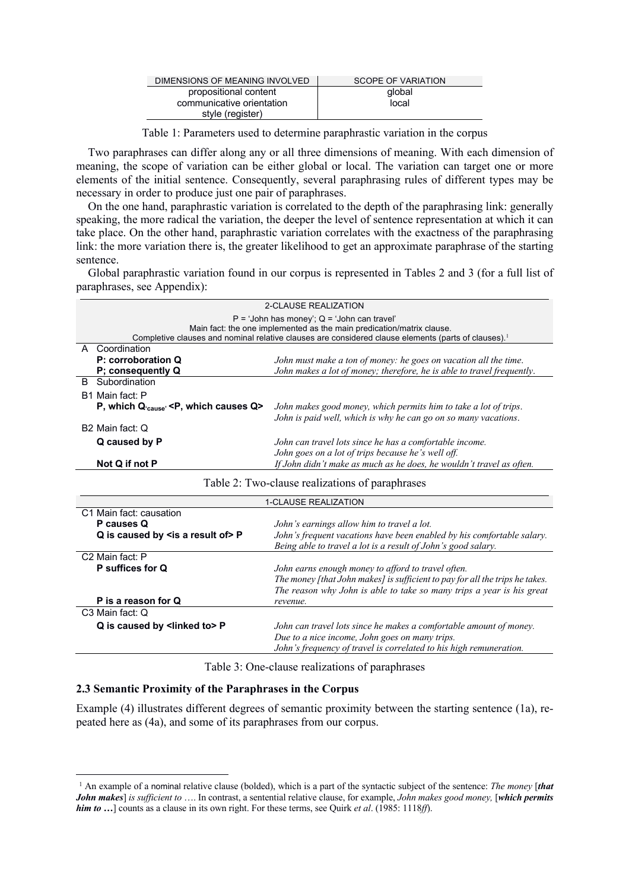| DIMENSIONS OF MEANING INVOLVED | SCOPE OF VARIATION |
|--------------------------------|--------------------|
| propositional content          | global             |
| communicative orientation      | local              |
| style (register)               |                    |

Table 1: Parameters used to determine paraphrastic variation in the corpus

Two paraphrases can differ along any or all three dimensions of meaning. With each dimension of meaning, the scope of variation can be either global or local. The variation can target one or more elements of the initial sentence. Consequently, several paraphrasing rules of different types may be necessary in order to produce just one pair of paraphrases.

On the one hand, paraphrastic variation is correlated to the depth of the paraphrasing link: generally speaking, the more radical the variation, the deeper the level of sentence representation at which it can take place. On the other hand, paraphrastic variation correlates with the exactness of the paraphrasing link: the more variation there is, the greater likelihood to get an approximate paraphrase of the starting sentence.

Global paraphrastic variation found in our corpus is represented in Tables 2 and 3 (for a full list of paraphrases, see Appendix):

| 2-CLAUSE REALIZATION                                                                               |                                                                        |  |  |  |  |  |
|----------------------------------------------------------------------------------------------------|------------------------------------------------------------------------|--|--|--|--|--|
| $P = 'John has money'; Q = 'John can travel'$                                                      |                                                                        |  |  |  |  |  |
| Main fact: the one implemented as the main predication/matrix clause.                              |                                                                        |  |  |  |  |  |
| Completive clauses and nominal relative clauses are considered clause elements (parts of clauses). |                                                                        |  |  |  |  |  |
| A Coordination                                                                                     |                                                                        |  |  |  |  |  |
| P: corroboration Q                                                                                 | John must make a ton of money: he goes on vacation all the time.       |  |  |  |  |  |
| P; consequently Q                                                                                  | John makes a lot of money; therefore, he is able to travel frequently. |  |  |  |  |  |
| B.<br>Subordination                                                                                |                                                                        |  |  |  |  |  |
| B1 Main fact: P                                                                                    |                                                                        |  |  |  |  |  |
| P, which $Q_{\text{cause}}$ <p, causes="" q="" which=""></p,>                                      | John makes good money, which permits him to take a lot of trips.       |  |  |  |  |  |
|                                                                                                    | John is paid well, which is why he can go on so many vacations.        |  |  |  |  |  |
| B <sub>2</sub> Main fact: Q                                                                        |                                                                        |  |  |  |  |  |
| Q caused by P                                                                                      | John can travel lots since he has a comfortable income.                |  |  |  |  |  |
|                                                                                                    | John goes on a lot of trips because he's well off.                     |  |  |  |  |  |
| Not Q if not P                                                                                     | If John didn't make as much as he does, he wouldn't travel as often.   |  |  |  |  |  |
| Table 2: Two-clause realizations of paraphrases                                                    |                                                                        |  |  |  |  |  |

| <b>1-CLAUSE REALIZATION</b>                   |                                                                              |  |  |  |  |
|-----------------------------------------------|------------------------------------------------------------------------------|--|--|--|--|
| C1 Main fact: causation                       |                                                                              |  |  |  |  |
| P causes Q                                    | John's earnings allow him to travel a lot.                                   |  |  |  |  |
| Q is caused by $\leq$ is a result of $\geq$ P | John's frequent vacations have been enabled by his comfortable salary.       |  |  |  |  |
|                                               | Being able to travel a lot is a result of John's good salary.                |  |  |  |  |
| C <sub>2</sub> Main fact: P                   |                                                                              |  |  |  |  |
| P suffices for Q                              | John earns enough money to afford to travel often.                           |  |  |  |  |
|                                               | The money [that John makes] is sufficient to pay for all the trips he takes. |  |  |  |  |
|                                               | The reason why John is able to take so many trips a year is his great        |  |  |  |  |
| P is a reason for Q                           | revenue.                                                                     |  |  |  |  |
| C <sub>3</sub> Main fact: Q                   |                                                                              |  |  |  |  |
| Q is caused by <linked to=""> P</linked>      | John can travel lots since he makes a comfortable amount of money.           |  |  |  |  |
|                                               | Due to a nice income, John goes on many trips.                               |  |  |  |  |
|                                               | John's frequency of travel is correlated to his high remuneration.           |  |  |  |  |
|                                               |                                                                              |  |  |  |  |

Table 3: One-clause realizations of paraphrases

# **2.3 Semantic Proximity of the Paraphrases in the Corpus**

Example (4) illustrates different degrees of semantic proximity between the starting sentence (1a), repeated here as (4a), and some of its paraphrases from our corpus.

<sup>1</sup> An example of a nominal relative clause (bolded), which is a part of the syntactic subject of the sentence: *The money* [*that John makes*] *is sufficient to* …. In contrast, a sentential relative clause, for example, *John makes good money,* [*which permits him to …*] counts as a clause in its own right. For these terms, see Quirk *et al*. (1985: 1118*ff*).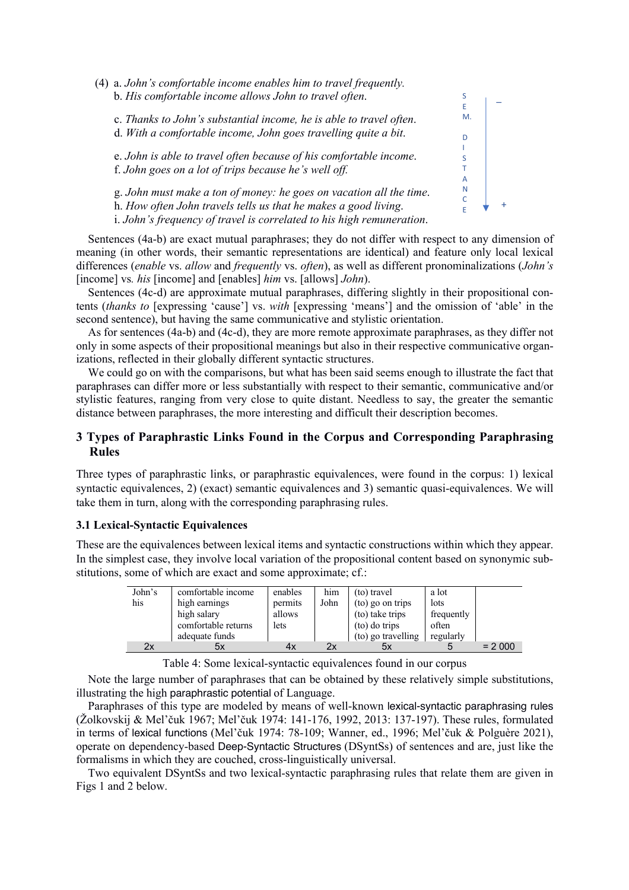

Sentences (4a-b) are exact mutual paraphrases; they do not differ with respect to any dimension of meaning (in other words, their semantic representations are identical) and feature only local lexical differences (*enable* vs. *allow* and *frequently* vs. *often*), as well as different pronominalizations (*John's* [income] vs*. his* [income] and [enables] *him* vs. [allows] *John*).

Sentences (4c-d) are approximate mutual paraphrases, differing slightly in their propositional contents (*thanks to* [expressing 'cause'] vs. *with* [expressing 'means'] and the omission of 'able' in the second sentence), but having the same communicative and stylistic orientation.

As for sentences (4a-b) and (4c-d), they are more remote approximate paraphrases, as they differ not only in some aspects of their propositional meanings but also in their respective communicative organizations, reflected in their globally different syntactic structures.

We could go on with the comparisons, but what has been said seems enough to illustrate the fact that paraphrases can differ more or less substantially with respect to their semantic, communicative and/or stylistic features, ranging from very close to quite distant. Needless to say, the greater the semantic distance between paraphrases, the more interesting and difficult their description becomes.

# **3 Types of Paraphrastic Links Found in the Corpus and Corresponding Paraphrasing Rules**

Three types of paraphrastic links, or paraphrastic equivalences, were found in the corpus: 1) lexical syntactic equivalences, 2) (exact) semantic equivalences and 3) semantic quasi-equivalences. We will take them in turn, along with the corresponding paraphrasing rules.

## **3.1 Lexical-Syntactic Equivalences**

These are the equivalences between lexical items and syntactic constructions within which they appear. In the simplest case, they involve local variation of the propositional content based on synonymic substitutions, some of which are exact and some approximate; cf.:

| John's<br>his | comfortable income<br>high earnings<br>high salary | enables<br>permits<br>allows | him<br>John | (to) travel<br>(to) go on trips<br>(to) take trips | a lot<br>lots<br>frequently |          |
|---------------|----------------------------------------------------|------------------------------|-------------|----------------------------------------------------|-----------------------------|----------|
|               | comfortable returns<br>adequate funds              | lets                         |             | (to) do trips<br>(to) go travelling                | often<br>regularly          |          |
| 2x            | 5х                                                 | 4х                           | 2x          | 5x                                                 |                             | $= 2000$ |

Table 4: Some lexical-syntactic equivalences found in our corpus

Note the large number of paraphrases that can be obtained by these relatively simple substitutions, illustrating the high paraphrastic potential of Language.

Paraphrases of this type are modeled by means of well-known lexical-syntactic paraphrasing rules (Žolkovskij & Mel'čuk 1967; Mel'čuk 1974: 141-176, 1992, 2013: 137-197). These rules, formulated in terms of lexical functions (Mel'čuk 1974: 78-109; Wanner, ed., 1996; Mel'čuk & Polguère 2021), operate on dependency-based Deep-Syntactic Structures (DSyntSs) of sentences and are, just like the formalisms in which they are couched, cross-linguistically universal.

Two equivalent DSyntSs and two lexical-syntactic paraphrasing rules that relate them are given in Figs 1 and 2 below.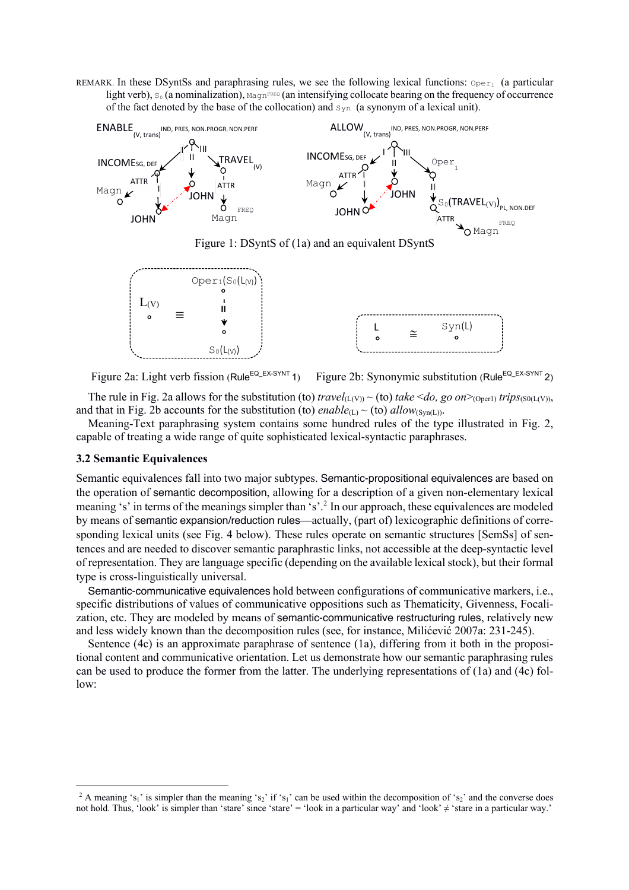REMARK. In these DSyntSs and paraphrasing rules, we see the following lexical functions:  $\mathcal{O}_{\text{per}_1}$  (a particular light verb),  $S_0$  (a nominalization),  $M_{\text{A}}$  and  $\alpha$  intensifying collocate bearing on the frequency of occurrence of the fact denoted by the base of the collocation) and  $\text{syn}$  (a synonym of a lexical unit).



Figure 1: DSyntS of (1a) and an equivalent DSyntS



Figure 2a: Light verb fission (Rule<sup>EQ\_EX-SYNT</sup> 1) Figure 2b: Synonymic substitution (Rule<sup>EQ\_EX-SYNT</sup> 2)

The rule in Fig. 2a allows for the substitution (to)  $travel_{(L(V))} \sim (to)$   $take \leq do$ , go  $on \geq_{(Oper1)} trips_{(S0(L(V)))}$ , and that in Fig. 2b accounts for the substitution (to) *enable*(L) ~ (to) *allow*(Syn(L)).

Meaning-Text paraphrasing system contains some hundred rules of the type illustrated in Fig. 2, capable of treating a wide range of quite sophisticated lexical-syntactic paraphrases.

#### **3.2 Semantic Equivalences**

Semantic equivalences fall into two major subtypes. Semantic-propositional equivalences are based on the operation of semantic decomposition, allowing for a description of a given non-elementary lexical meaning 's' in terms of the meanings simpler than 's'.<sup>2</sup> In our approach, these equivalences are modeled by means of semantic expansion/reduction rules—actually, (part of) lexicographic definitions of corresponding lexical units (see Fig. 4 below). These rules operate on semantic structures [SemSs] of sentences and are needed to discover semantic paraphrastic links, not accessible at the deep-syntactic level of representation. They are language specific (depending on the available lexical stock), but their formal type is cross-linguistically universal.

Semantic-communicative equivalences hold between configurations of communicative markers, i.e., specific distributions of values of communicative oppositions such as Thematicity, Givenness, Focalization, etc. They are modeled by means of semantic-communicative restructuring rules, relatively new and less widely known than the decomposition rules (see, for instance, Milićević 2007a: 231-245).

Sentence (4c) is an approximate paraphrase of sentence (1a), differing from it both in the propositional content and communicative orientation. Let us demonstrate how our semantic paraphrasing rules can be used to produce the former from the latter. The underlying representations of (1a) and (4c) follow:

<sup>&</sup>lt;sup>2</sup> A meaning 's<sub>1</sub>' is simpler than the meaning 's<sub>2</sub>' if 's<sub>1</sub>' can be used within the decomposition of 's<sub>2</sub>' and the converse does not hold. Thus, 'look' is simpler than 'stare' since 'stare' = 'look in a particular way' and 'look' ≠ 'stare in a particular way.'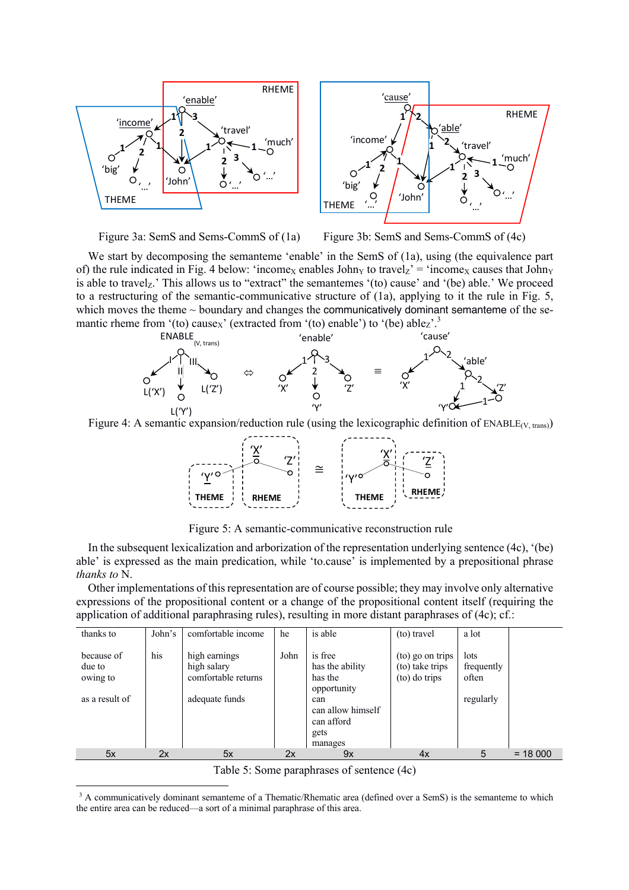





We start by decomposing the semanteme 'enable' in the SemS of (1a), using (the equivalence part of) the rule indicated in Fig. 4 below: 'income<sub>X</sub> enables John<sub>Y</sub> to travel<sub>Z</sub>' = 'income<sub>X</sub> causes that John<sub>Y</sub> is able to travel<sub>z</sub>.' This allows us to "extract" the semantemes '(to) cause' and '(be) able.' We proceed to a restructuring of the semantic-communicative structure of (1a), applying to it the rule in Fig. 5, which moves the theme  $\sim$  boundary and changes the communicatively dominant semanteme of the semantic rheme from '(to) cause<sub>X</sub>' (extracted from '(to) enable') to '(be) able<sub>Z</sub>'.<sup>3</sup>



Figure 4: A semantic expansion/reduction rule (using the lexicographic definition of  $\text{ENABLE}(V, \text{trans})$ )



Figure 5: A semantic-communicative reconstruction rule

In the subsequent lexicalization and arborization of the representation underlying sentence (4c), '(be) able' is expressed as the main predication, while 'to.cause' is implemented by a prepositional phrase *thanks to* N.

Other implementations of this representation are of course possible; they may involve only alternative expressions of the propositional content or a change of the propositional content itself (requiring the application of additional paraphrasing rules), resulting in more distant paraphrases of (4c); cf.:

| thanks to                        | John's | comfortable income                                  | he   | is able                                                   | (to) travel                                          | a lot                       |           |
|----------------------------------|--------|-----------------------------------------------------|------|-----------------------------------------------------------|------------------------------------------------------|-----------------------------|-----------|
| because of<br>due to<br>owing to | his    | high earnings<br>high salary<br>comfortable returns | John | is free<br>has the ability<br>has the<br>opportunity      | (to) go on trips<br>(to) take trips<br>(to) do trips | lots<br>frequently<br>often |           |
| as a result of                   |        | adequate funds                                      |      | can<br>can allow himself<br>can afford<br>gets<br>manages |                                                      | regularly                   |           |
| 5x                               | 2x     | 5x                                                  | 2x   | 9x                                                        | 4x                                                   | 5                           | $= 18000$ |

Table 5: Some paraphrases of sentence (4c)

<sup>&</sup>lt;sup>3</sup> A communicatively dominant semanteme of a Thematic/Rhematic area (defined over a SemS) is the semanteme to which the entire area can be reduced—a sort of a minimal paraphrase of this area.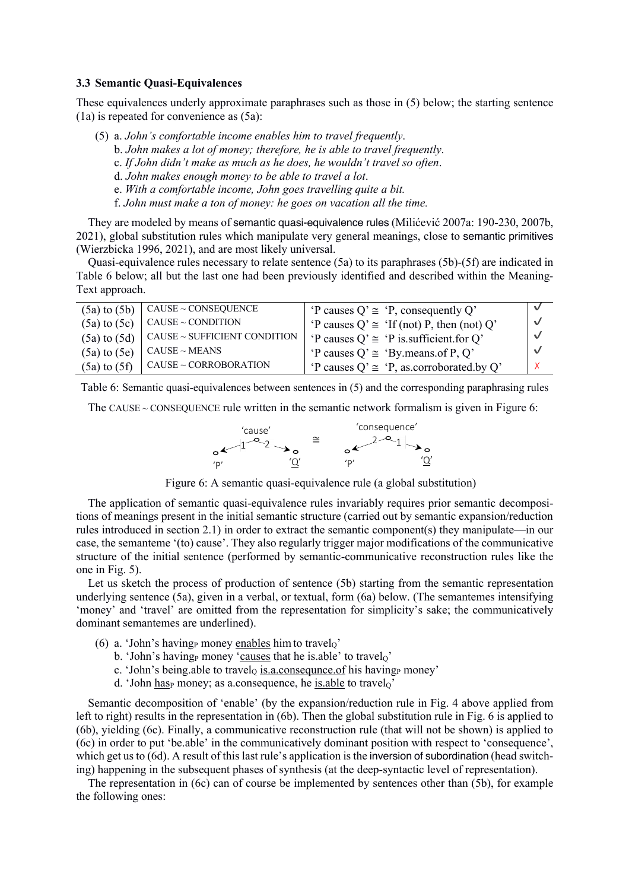## **3.3 Semantic Quasi-Equivalences**

These equivalences underly approximate paraphrases such as those in (5) below; the starting sentence (1a) is repeated for convenience as (5a):

- (5) a. *John's comfortable income enables him to travel frequently*.
	- b. *John makes a lot of money; therefore, he is able to travel frequently*.
	- c. *If John didn't make as much as he does, he wouldn't travel so often*.
	- d. *John makes enough money to be able to travel a lot*.
	- e. *With a comfortable income, John goes travelling quite a bit.*
	- f. *John must make a ton of money: he goes on vacation all the time.*

They are modeled by means of semantic quasi-equivalence rules (Milićević 2007a: 190-230, 2007b, 2021), global substitution rules which manipulate very general meanings, close to semantic primitives (Wierzbicka 1996, 2021), and are most likely universal.

Quasi-equivalence rules necessary to relate sentence (5a) to its paraphrases (5b)-(5f) are indicated in Table 6 below; all but the last one had been previously identified and described within the Meaning-Text approach.

| $(5a)$ to $(5b)$ | $CAUSE \sim CONSEQUENCE$             | 'P causes $Q' \cong 'P$ , consequently Q'       |            |
|------------------|--------------------------------------|-------------------------------------------------|------------|
| $(5a)$ to $(5c)$ | $CAUSE \sim CONDITION$               | 'P causes $Q' \cong$ 'If (not) P, then (not) Q' | $\sqrt{2}$ |
| $(5a)$ to $(5d)$ | $\vert$ CAUSE ~ SUFFICIENT CONDITION | 'P causes $Q' \cong 'P$ is sufficient for $Q'$  | $\sqrt{2}$ |
| $(5a)$ to $(5e)$ | $CAUSE \sim MEANS$                   | 'P causes $Q' \cong 'By$ means of P, Q'         | $\sqrt{ }$ |
| $(5a)$ to $(5f)$ | $CAUSE \sim CORROBORATION$           | 'P causes $Q' \cong 'P$ , as corroborated by Q' |            |

Table 6: Semantic quasi-equivalences between sentences in (5) and the corresponding paraphrasing rules

The CAUSE  $\sim$  CONSEQUENCE rule written in the semantic network formalism is given in Figure 6:

'cause' 'Q' 'P' <sup>1</sup> <sup>2</sup> <sup>≅</sup> 'consequence' 'Q' 'P' 2 1

Figure 6: A semantic quasi-equivalence rule (a global substitution)

The application of semantic quasi-equivalence rules invariably requires prior semantic decompositions of meanings present in the initial semantic structure (carried out by semantic expansion/reduction rules introduced in section 2.1) in order to extract the semantic component(s) they manipulate—in our case, the semanteme '(to) cause'. They also regularly trigger major modifications of the communicative structure of the initial sentence (performed by semantic-communicative reconstruction rules like the one in Fig. 5).

Let us sketch the process of production of sentence (5b) starting from the semantic representation underlying sentence (5a), given in a verbal, or textual, form (6a) below. (The semantemes intensifying 'money' and 'travel' are omitted from the representation for simplicity's sake; the communicatively dominant semantemes are underlined).

- (6) a. 'John's having money enables him to travel
	- b. 'John's having money 'causes that he is.able' to travelo'
	- c. 'John's being.able to travelo is.a.consequnce.of his having money'
	- d. 'John hasp money; as a.consequence, he is.able to travel $\alpha$ '

Semantic decomposition of 'enable' (by the expansion/reduction rule in Fig. 4 above applied from left to right) results in the representation in (6b). Then the global substitution rule in Fig. 6 is applied to (6b), yielding (6c). Finally, a communicative reconstruction rule (that will not be shown) is applied to (6c) in order to put 'be.able' in the communicatively dominant position with respect to 'consequence', which get us to (6d). A result of this last rule's application is the inversion of subordination (head switching) happening in the subsequent phases of synthesis (at the deep-syntactic level of representation).

The representation in (6c) can of course be implemented by sentences other than (5b), for example the following ones: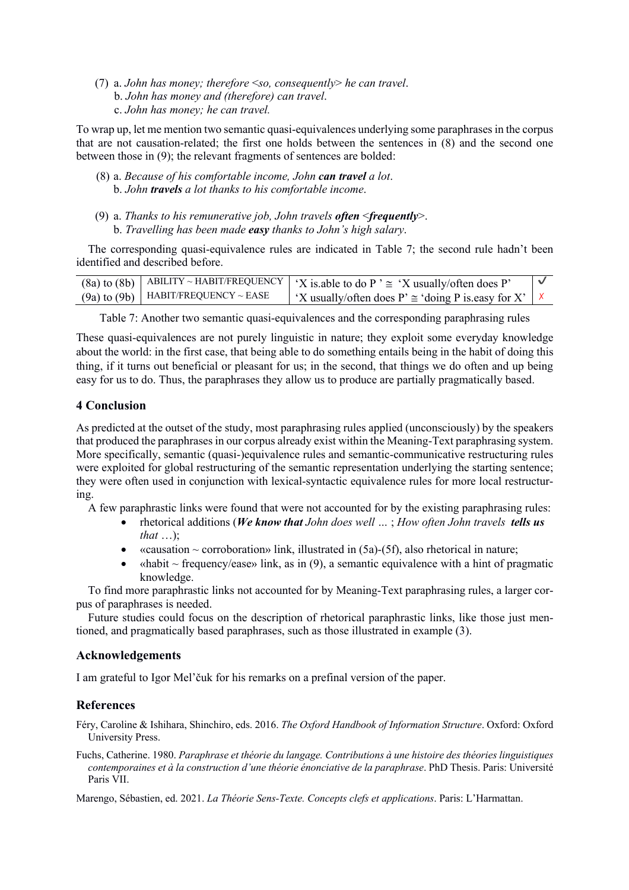(7) a. *John has money; therefore* <*so, consequently*> *he can travel*. b. *John has money and (therefore) can travel*. c. *John has money; he can travel.*

To wrap up, let me mention two semantic quasi-equivalences underlying some paraphrases in the corpus that are not causation-related; the first one holds between the sentences in (8) and the second one between those in (9); the relevant fragments of sentences are bolded:

- (8) a. *Because of his comfortable income, John can travel a lot*. b. *John travels a lot thanks to his comfortable income*.
- (9) a. *Thanks to his remunerative job, John travels often* <*frequently*>. b. *Travelling has been made easy thanks to John's high salary*.

The corresponding quasi-equivalence rules are indicated in Table 7; the second rule hadn't been identified and described before.

|                                           | (8a) to (8b) ABILITY ~ HABIT/FREQUENCY   'X is able to do P ' $\cong$ 'X usually/often does P' |  |
|-------------------------------------------|------------------------------------------------------------------------------------------------|--|
| $(9a)$ to $(9b)$   HABIT/FREQUENCY ~ EASE | $\mid$ 'X usually/often does P' $\cong$ 'doing P is easy for X' $\mid$ X                       |  |

Table 7: Another two semantic quasi-equivalences and the corresponding paraphrasing rules

These quasi-equivalences are not purely linguistic in nature; they exploit some everyday knowledge about the world: in the first case, that being able to do something entails being in the habit of doing this thing, if it turns out beneficial or pleasant for us; in the second, that things we do often and up being easy for us to do. Thus, the paraphrases they allow us to produce are partially pragmatically based.

# **4 Conclusion**

As predicted at the outset of the study, most paraphrasing rules applied (unconsciously) by the speakers that produced the paraphrases in our corpus already exist within the Meaning-Text paraphrasing system. More specifically, semantic (quasi-)equivalence rules and semantic-communicative restructuring rules were exploited for global restructuring of the semantic representation underlying the starting sentence; they were often used in conjunction with lexical-syntactic equivalence rules for more local restructuring.

A few paraphrastic links were found that were not accounted for by the existing paraphrasing rules:

- rhetorical additions (*We know that John does well …* ; *How often John travels tells us that* …);
- «causation  $\sim$  corroboration» link, illustrated in (5a)-(5f), also rhetorical in nature;
- «habit  $\sim$  frequency/ease» link, as in (9), a semantic equivalence with a hint of pragmatic knowledge.

To find more paraphrastic links not accounted for by Meaning-Text paraphrasing rules, a larger corpus of paraphrases is needed.

Future studies could focus on the description of rhetorical paraphrastic links, like those just mentioned, and pragmatically based paraphrases, such as those illustrated in example (3).

## **Acknowledgements**

I am grateful to Igor Mel'čuk for his remarks on a prefinal version of the paper.

## **References**

Féry, Caroline & Ishihara, Shinchiro, eds. 2016. *The Oxford Handbook of Information Structure*. Oxford: Oxford University Press.

Fuchs, Catherine. 1980. *Paraphrase et théorie du langage. Contributions à une histoire des théories linguistiques contemporaines et à la construction d'une théorie énonciative de la paraphrase*. PhD Thesis. Paris: Université Paris VII.

Marengo, Sébastien, ed. 2021. *La Théorie Sens-Texte. Concepts clefs et applications*. Paris: L'Harmattan.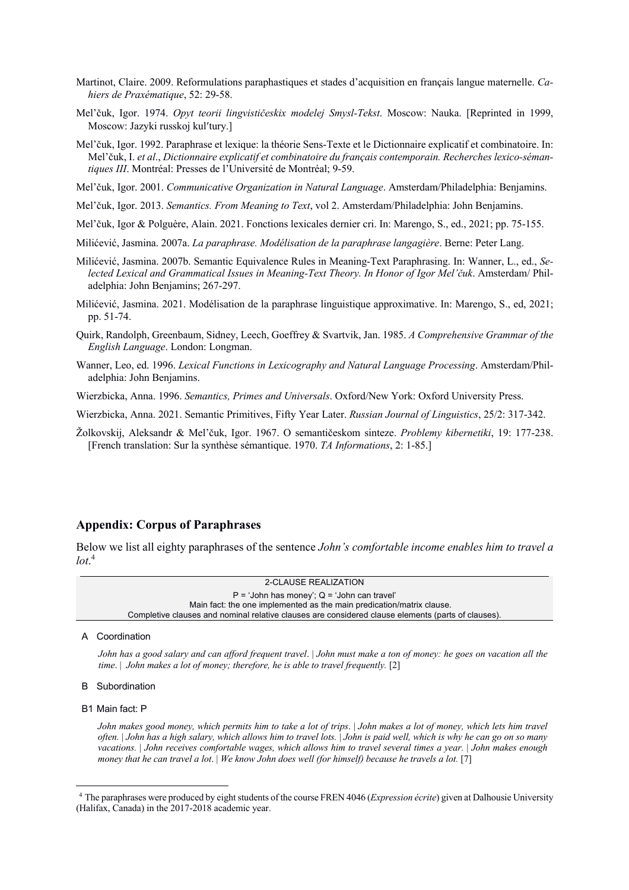- Martinot, Claire. 2009. Reformulations paraphastiques et stades d'acquisition en français langue maternelle. *Cahiers de Praxématique*, 52: 29-58.
- Mel'čuk, Igor. 1974. *Opyt teorii lingvističeskix modelej Smysl-Tekst*. Moscow: Nauka. [Reprinted in 1999, Moscow: Jazyki russkoj kul'tury.]
- Mel'čuk, Igor. 1992. Paraphrase et lexique: la théorie Sens-Texte et le Dictionnaire explicatif et combinatoire. In: Mel'čuk, I. *et al*., *Dictionnaire explicatif et combinatoire du français contemporain. Recherches lexico-sémantiques III*. Montréal: Presses de l'Université de Montréal; 9-59.
- Mel'čuk, Igor. 2001. *Communicative Organization in Natural Language*. Amsterdam/Philadelphia: Benjamins.
- Mel'čuk, Igor. 2013. *Semantics. From Meaning to Text*, vol 2. Amsterdam/Philadelphia: John Benjamins.
- Mel'čuk, Igor & Polguère, Alain. 2021. Fonctions lexicales dernier cri. In: Marengo, S., ed., 2021; pp. 75-155.
- Milićević, Jasmina. 2007a. *La paraphrase. Modélisation de la paraphrase langagière*. Berne: Peter Lang.
- Milićević, Jasmina. 2007b. Semantic Equivalence Rules in Meaning-Text Paraphrasing. In: Wanner, L., ed., *Selected Lexical and Grammatical Issues in Meaning-Text Theory. In Honor of Igor Mel'čuk*. Amsterdam/ Philadelphia: John Benjamins; 267-297.
- Milićević, Jasmina. 2021. Modélisation de la paraphrase linguistique approximative. In: Marengo, S., ed, 2021; pp. 51-74.
- Quirk, Randolph, Greenbaum, Sidney, Leech, Goeffrey & Svartvik, Jan. 1985. *A Comprehensive Grammar of the English Language*. London: Longman.
- Wanner, Leo, ed. 1996. *Lexical Functions in Lexicography and Natural Language Processing*. Amsterdam/Philadelphia: John Benjamins.
- Wierzbicka, Anna. 1996. *Semantics, Primes and Universals*. Oxford/New York: Oxford University Press.
- Wierzbicka, Anna. 2021. Semantic Primitives, Fifty Year Later. *Russian Journal of Linguistics*, 25/2: 317-342.
- Žolkovskij, Aleksandr & Mel'čuk, Igor. 1967. O semantičeskom sinteze. *Problemy kibernetiki*, 19: 177-238. [French translation: Sur la synthèse sémantique. 1970. *TA Informations*, 2: 1-85.]

## **Appendix: Corpus of Paraphrases**

Below we list all eighty paraphrases of the sentence *John's comfortable income enables him to travel a lot*. 4

#### 2-CLAUSE REALIZATION

 $P = 'John has money'; Q = 'John can travel'$ Main fact: the one implemented as the main predication/matrix clause. Completive clauses and nominal relative clauses are considered clause elements (parts of clauses).

A Coordination

*John has a good salary and can afford frequent travel*. | *John must make a ton of money: he goes on vacation all the time.* | *John makes a lot of money; therefore, he is able to travel frequently.* [2]

#### B Subordination

B1 Main fact: P

*John makes good money, which permits him to take a lot of trips*. | *John makes a lot of money, which lets him travel often.* | *John has a high salary, which allows him to travel lots.* | *John is paid well, which is why he can go on so many vacations.* | *John receives comfortable wages, which allows him to travel several times a year.* | *John makes enough money that he can travel a lot*. | *We know John does well (for himself) because he travels a lot.* [7]

<sup>4</sup> The paraphrases were produced by eight students of the course FREN 4046 (*Expression écrite*) given at Dalhousie University (Halifax, Canada) in the 2017-2018 academic year.